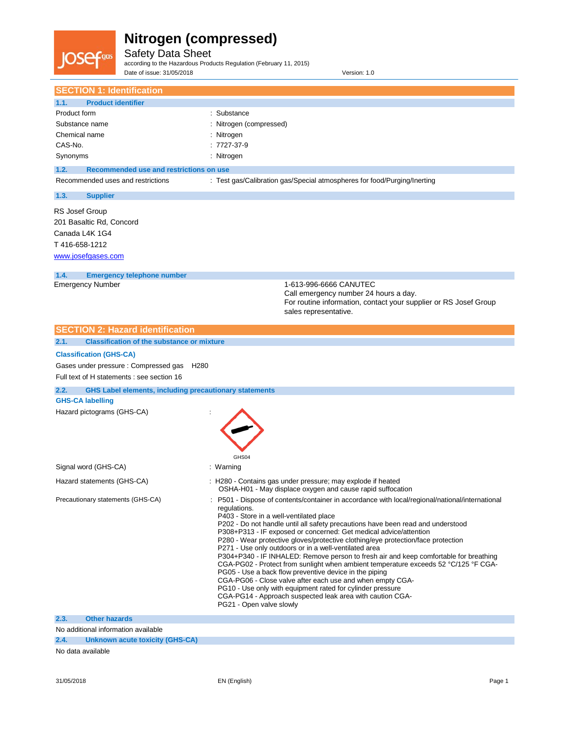

Safety Data Sheet according to the Hazardous Products Regulation (February 11, 2015)

Date of issue: 31/05/2018 Version: 1.0

| <b>SECTION 1: Identification</b>                                      |                                                                                                                                                      |
|-----------------------------------------------------------------------|------------------------------------------------------------------------------------------------------------------------------------------------------|
| 1.1.<br><b>Product identifier</b>                                     |                                                                                                                                                      |
| Product form                                                          | : Substance                                                                                                                                          |
| Substance name                                                        | Nitrogen (compressed)                                                                                                                                |
| Chemical name                                                         | : Nitrogen                                                                                                                                           |
| CAS-No.                                                               | : 7727-37-9                                                                                                                                          |
| Synonyms                                                              | : Nitrogen                                                                                                                                           |
|                                                                       |                                                                                                                                                      |
| 1.2.<br>Recommended use and restrictions on use                       |                                                                                                                                                      |
| Recommended uses and restrictions                                     | : Test gas/Calibration gas/Special atmospheres for food/Purging/Inerting                                                                             |
| 1.3.<br><b>Supplier</b>                                               |                                                                                                                                                      |
| RS Josef Group                                                        |                                                                                                                                                      |
| 201 Basaltic Rd, Concord                                              |                                                                                                                                                      |
| Canada L4K 1G4                                                        |                                                                                                                                                      |
| T416-658-1212                                                         |                                                                                                                                                      |
| www.josefgases.com                                                    |                                                                                                                                                      |
| <b>Emergency telephone number</b><br>1.4.                             |                                                                                                                                                      |
| <b>Emergency Number</b>                                               | 1-613-996-6666 CANUTEC                                                                                                                               |
|                                                                       | Call emergency number 24 hours a day.                                                                                                                |
|                                                                       | For routine information, contact your supplier or RS Josef Group                                                                                     |
|                                                                       | sales representative.                                                                                                                                |
| <b>SECTION 2: Hazard identification</b>                               |                                                                                                                                                      |
| 2.1.<br><b>Classification of the substance or mixture</b>             |                                                                                                                                                      |
|                                                                       |                                                                                                                                                      |
| <b>Classification (GHS-CA)</b>                                        |                                                                                                                                                      |
| Gases under pressure : Compressed gas<br>H <sub>280</sub>             |                                                                                                                                                      |
| Full text of H statements : see section 16                            |                                                                                                                                                      |
| 2.2.<br><b>GHS Label elements, including precautionary statements</b> |                                                                                                                                                      |
| <b>GHS-CA labelling</b>                                               |                                                                                                                                                      |
| Hazard pictograms (GHS-CA)                                            |                                                                                                                                                      |
|                                                                       |                                                                                                                                                      |
|                                                                       |                                                                                                                                                      |
|                                                                       |                                                                                                                                                      |
|                                                                       | GHS04                                                                                                                                                |
| Signal word (GHS-CA)                                                  | : Warning                                                                                                                                            |
|                                                                       |                                                                                                                                                      |
| Hazard statements (GHS-CA)                                            | : H280 - Contains gas under pressure; may explode if heated<br>OSHA-H01 - May displace oxygen and cause rapid suffocation                            |
| Precautionary statements (GHS-CA)                                     | : P501 - Dispose of contents/container in accordance with local/regional/national/international                                                      |
|                                                                       | regulations.                                                                                                                                         |
|                                                                       | P403 - Store in a well-ventilated place                                                                                                              |
|                                                                       | P202 - Do not handle until all safety precautions have been read and understood<br>P308+P313 - IF exposed or concerned: Get medical advice/attention |
|                                                                       | P280 - Wear protective gloves/protective clothing/eye protection/face protection                                                                     |
|                                                                       | P271 - Use only outdoors or in a well-ventilated area                                                                                                |
|                                                                       | P304+P340 - IF INHALED: Remove person to fresh air and keep comfortable for breathing                                                                |
|                                                                       | CGA-PG02 - Protect from sunlight when ambient temperature exceeds 52 °C/125 °F CGA-<br>PG05 - Use a back flow preventive device in the piping        |
|                                                                       | CGA-PG06 - Close valve after each use and when empty CGA-                                                                                            |
|                                                                       | PG10 - Use only with equipment rated for cylinder pressure                                                                                           |
|                                                                       | CGA-PG14 - Approach suspected leak area with caution CGA-                                                                                            |
|                                                                       | PG21 - Open valve slowly                                                                                                                             |
| Other hazards<br>2.3.                                                 |                                                                                                                                                      |

**2.3. Other hazards**

No additional information available

**2.4. Unknown acute toxicity (GHS-CA)**

No data available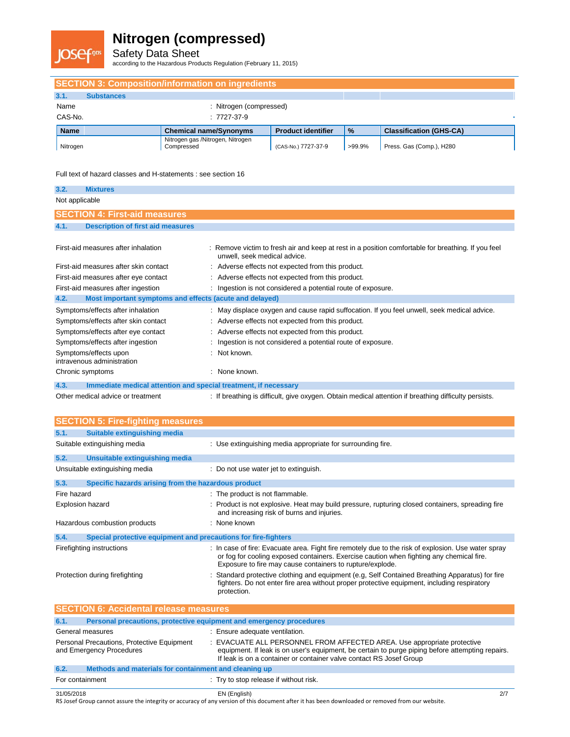

Safety Data Sheet according to the Hazardous Products Regulation (February 11, 2015)

| <b>SECTION 3: Composition/information on ingredients</b> |                         |                                                |                           |               |                                |  |
|----------------------------------------------------------|-------------------------|------------------------------------------------|---------------------------|---------------|--------------------------------|--|
| 3.1.                                                     | <b>Substances</b>       |                                                |                           |               |                                |  |
| Name                                                     | : Nitrogen (compressed) |                                                |                           |               |                                |  |
| CAS-No.                                                  |                         | $:7727-37-9$                                   |                           |               |                                |  |
| <b>Name</b>                                              |                         | <b>Chemical name/Synonyms</b>                  | <b>Product identifier</b> | $\frac{9}{6}$ | <b>Classification (GHS-CA)</b> |  |
| Nitrogen                                                 |                         | Nitrogen gas /Nitrogen, Nitrogen<br>Compressed | (CAS-No.) 7727-37-9       | >99.9%        | Press. Gas (Comp.), H280       |  |

Full text of hazard classes and H-statements : see section 16

| 3.2.           | <b>Mixtures</b>                                                          |                                                                                                                                                                                                 |
|----------------|--------------------------------------------------------------------------|-------------------------------------------------------------------------------------------------------------------------------------------------------------------------------------------------|
| Not applicable |                                                                          |                                                                                                                                                                                                 |
|                | <b>SECTION 4: First-aid measures</b>                                     |                                                                                                                                                                                                 |
| 4.1.           | <b>Description of first aid measures</b>                                 |                                                                                                                                                                                                 |
|                |                                                                          |                                                                                                                                                                                                 |
|                | First-aid measures after inhalation                                      | : Remove victim to fresh air and keep at rest in a position comfortable for breathing. If you feel<br>unwell, seek medical advice.                                                              |
|                | First-aid measures after skin contact                                    | Adverse effects not expected from this product.                                                                                                                                                 |
|                | First-aid measures after eye contact                                     | Adverse effects not expected from this product.                                                                                                                                                 |
|                | First-aid measures after ingestion                                       | Ingestion is not considered a potential route of exposure.                                                                                                                                      |
| 4.2.           | Most important symptoms and effects (acute and delayed)                  |                                                                                                                                                                                                 |
|                | Symptoms/effects after inhalation                                        | May displace oxygen and cause rapid suffocation. If you feel unwell, seek medical advice.                                                                                                       |
|                | Symptoms/effects after skin contact                                      | Adverse effects not expected from this product.                                                                                                                                                 |
|                | Symptoms/effects after eye contact                                       | Adverse effects not expected from this product.                                                                                                                                                 |
|                | Symptoms/effects after ingestion                                         | Ingestion is not considered a potential route of exposure.                                                                                                                                      |
|                | Symptoms/effects upon<br>intravenous administration                      | Not known.                                                                                                                                                                                      |
|                | Chronic symptoms                                                         | None known.                                                                                                                                                                                     |
| 4.3.           | Immediate medical attention and special treatment, if necessary          |                                                                                                                                                                                                 |
|                | Other medical advice or treatment                                        | : If breathing is difficult, give oxygen. Obtain medical attention if breathing difficulty persists.                                                                                            |
|                |                                                                          |                                                                                                                                                                                                 |
|                | <b>SECTION 5: Fire-fighting measures</b>                                 |                                                                                                                                                                                                 |
| 5.1.           | <b>Suitable extinguishing media</b>                                      |                                                                                                                                                                                                 |
|                | Suitable extinguishing media                                             | : Use extinguishing media appropriate for surrounding fire.                                                                                                                                     |
| 5.2.           | <b>Unsuitable extinguishing media</b>                                    |                                                                                                                                                                                                 |
|                | Unsuitable extinguishing media                                           | : Do not use water jet to extinguish.                                                                                                                                                           |
| 5.3.           | Specific hazards arising from the hazardous product                      |                                                                                                                                                                                                 |
| Fire hazard    |                                                                          | : The product is not flammable.                                                                                                                                                                 |
|                | Explosion hazard                                                         | : Product is not explosive. Heat may build pressure, rupturing closed containers, spreading fire<br>and increasing risk of burns and injuries.                                                  |
|                | Hazardous combustion products                                            | : None known                                                                                                                                                                                    |
| 5.4.           | Special protective equipment and precautions for fire-fighters           |                                                                                                                                                                                                 |
|                | Firefighting instructions                                                | : In case of fire: Evacuate area. Fight fire remotely due to the risk of explosion. Use water spray<br>or fog for cooling exposed containers. Exercise caution when fighting any chemical fire. |
|                | Protection during firefighting                                           | Exposure to fire may cause containers to rupture/explode.<br>Standard protective clothing and equipment (e.g. Self Contained Breathing Apparatus) for fire                                      |
|                |                                                                          | fighters. Do not enter fire area without proper protective equipment, including respiratory<br>protection.                                                                                      |
|                | <b>SECTION 6: Accidental release measures</b>                            |                                                                                                                                                                                                 |
| 6.1.           | Personal precautions, protective equipment and emergency procedures      |                                                                                                                                                                                                 |
|                | General measures                                                         | : Ensure adequate ventilation.                                                                                                                                                                  |
|                | Personal Precautions, Protective Equipment<br>and Emergency Procedures   | : EVACUATE ALL PERSONNEL FROM AFFECTED AREA. Use appropriate protective<br>equipment. If leak is on user's equipment, be certain to purge piping before attempting repairs.                     |
|                |                                                                          | If leak is on a container or container valve contact RS Josef Group                                                                                                                             |
| 6.2.           | Methods and materials for containment and cleaning up<br>For containment |                                                                                                                                                                                                 |
|                |                                                                          | : Try to stop release if without risk.                                                                                                                                                          |

31/05/2018 EN (English) 2/7 RS Josef Group cannot assure the integrity or accuracy of any version of this document after it has been downloaded or removed from our website.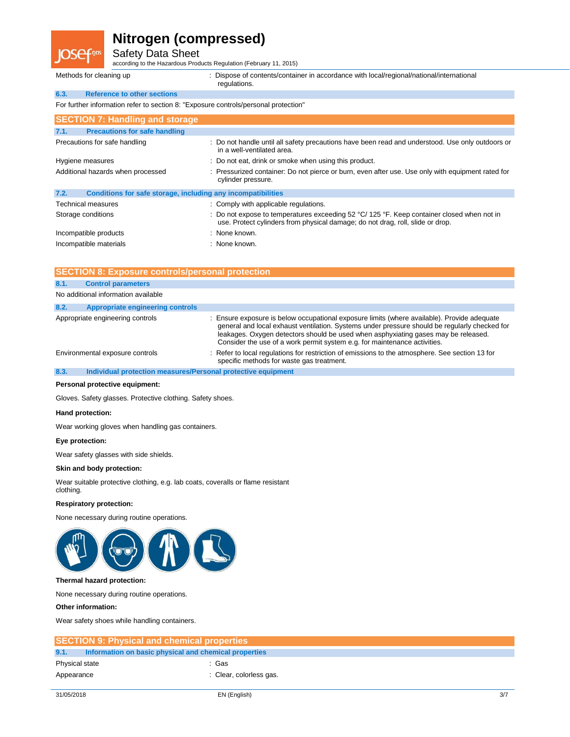Safety Data Sheet

according to the Hazardous Products Regulation (February 11, 2015)

|  | Methods for cleaning up |  |  |  |
|--|-------------------------|--|--|--|
|--|-------------------------|--|--|--|

|      | Methods for cleaning up                                                             | : Dispose of contents/container in accordance with local/regional/national/international<br>regulations.                                                                     |
|------|-------------------------------------------------------------------------------------|------------------------------------------------------------------------------------------------------------------------------------------------------------------------------|
| 6.3. | <b>Reference to other sections</b>                                                  |                                                                                                                                                                              |
|      | For further information refer to section 8: "Exposure controls/personal protection" |                                                                                                                                                                              |
|      | <b>SECTION 7: Handling and storage</b>                                              |                                                                                                                                                                              |
| 7.1. | <b>Precautions for safe handling</b>                                                |                                                                                                                                                                              |
|      | Precautions for safe handling                                                       | : Do not handle until all safety precautions have been read and understood. Use only outdoors or<br>in a well-ventilated area.                                               |
|      | Hygiene measures                                                                    | : Do not eat, drink or smoke when using this product.                                                                                                                        |
|      | Additional hazards when processed                                                   | : Pressurized container: Do not pierce or burn, even after use. Use only with equipment rated for<br>cylinder pressure.                                                      |
| 7.2. | Conditions for safe storage, including any incompatibilities                        |                                                                                                                                                                              |
|      | <b>Technical measures</b>                                                           | : Comply with applicable regulations.                                                                                                                                        |
|      | Storage conditions                                                                  | : Do not expose to temperatures exceeding 52 °C/ 125 °F. Keep container closed when not in<br>use. Protect cylinders from physical damage; do not drag, roll, slide or drop. |
|      | Incompatible products                                                               | : None known.                                                                                                                                                                |
|      | Incompatible materials                                                              | : None known.                                                                                                                                                                |

| <b>SECTION 8: Exposure controls/personal protection</b> |                                                              |                                                                                                                                                                                                                                                                                                                                                                 |  |
|---------------------------------------------------------|--------------------------------------------------------------|-----------------------------------------------------------------------------------------------------------------------------------------------------------------------------------------------------------------------------------------------------------------------------------------------------------------------------------------------------------------|--|
| 8.1.                                                    | <b>Control parameters</b>                                    |                                                                                                                                                                                                                                                                                                                                                                 |  |
|                                                         | No additional information available                          |                                                                                                                                                                                                                                                                                                                                                                 |  |
| 8.2.                                                    | Appropriate engineering controls                             |                                                                                                                                                                                                                                                                                                                                                                 |  |
|                                                         | Appropriate engineering controls                             | : Ensure exposure is below occupational exposure limits (where available). Provide adequate<br>general and local exhaust ventilation. Systems under pressure should be regularly checked for<br>leakages. Oxygen detectors should be used when asphyxiating gases may be released.<br>Consider the use of a work permit system e.g. for maintenance activities. |  |
|                                                         | Environmental exposure controls                              | : Refer to local regulations for restriction of emissions to the atmosphere. See section 13 for<br>specific methods for waste gas treatment.                                                                                                                                                                                                                    |  |
| 0.2                                                     | Individual protection measures/Personal protective equipment |                                                                                                                                                                                                                                                                                                                                                                 |  |

**8.3. Individual protection measures/Personal protective equipment**

#### **Personal protective equipment:**

Gloves. Safety glasses. Protective clothing. Safety shoes.

#### **Hand protection:**

Wear working gloves when handling gas containers.

#### **Eye protection:**

Wear safety glasses with side shields.

#### **Skin and body protection:**

Wear suitable protective clothing, e.g. lab coats, coveralls or flame resistant clothing.

#### **Respiratory protection:**

None necessary during routine operations.



#### **Thermal hazard protection:**

None necessary during routine operations.

#### **Other information:**

Wear safety shoes while handling containers.

|                | <b>SECTION 9: Physical and chemical properties</b>    |                         |
|----------------|-------------------------------------------------------|-------------------------|
| 9.1.           | Information on basic physical and chemical properties |                         |
| Physical state |                                                       | : Gas                   |
| Appearance     |                                                       | : Clear, colorless gas. |
|                |                                                       |                         |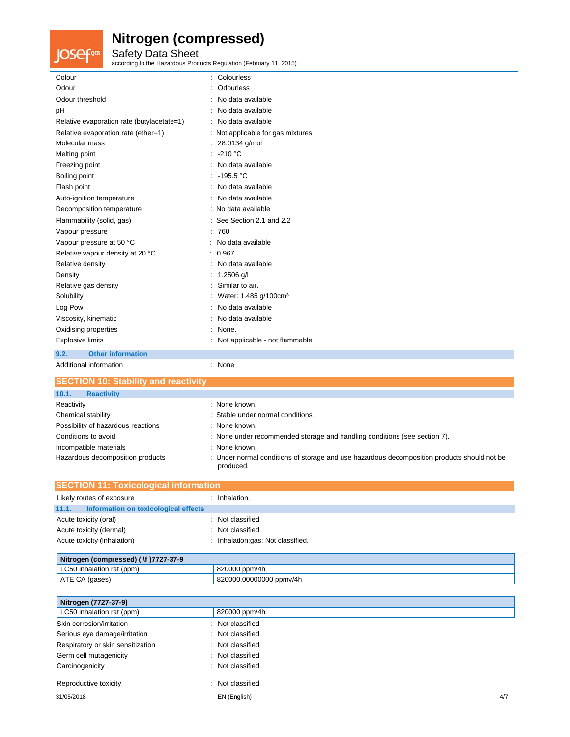**JOSef**<sup>gas</sup> Safety Data Sheet according to the Hazardous Products Regulation (February 11, 2015)

| Colour                                     | Colourless                         |
|--------------------------------------------|------------------------------------|
| Odour                                      | Odourless                          |
| Odour threshold                            | No data available                  |
| pH                                         | No data available                  |
| Relative evaporation rate (butylacetate=1) | : No data available                |
| Relative evaporation rate (ether=1)        | : Not applicable for gas mixtures. |
| Molecular mass                             | : 28.0134 g/mol                    |
| Melting point                              | $: -210 °C$                        |
| Freezing point                             | No data available                  |
| Boiling point                              | : $-195.5 °C$                      |
| Flash point                                | No data available                  |
| Auto-ignition temperature                  | : No data available                |
| Decomposition temperature                  | : No data available                |
| Flammability (solid, gas)                  | : See Section 2.1 and 2.2          |
| Vapour pressure                            | 760<br>t.                          |
| Vapour pressure at 50 °C                   | : No data available                |
| Relative vapour density at 20 °C           | : 0.967                            |
| Relative density                           | No data available                  |
| Density                                    | : $1.2506$ g/l                     |
| Relative gas density                       | Similar to air.                    |
| Solubility                                 | Water: 1.485 g/100cm <sup>3</sup>  |
| Log Pow                                    | No data available                  |
| Viscosity, kinematic                       | No data available                  |
| Oxidising properties                       | None.                              |
| <b>Explosive limits</b>                    | Not applicable - not flammable     |
| <b>Other information</b><br>9.2.           |                                    |
| Additional information                     | : None                             |

| <b>SECTION 10: Stability and reactivity</b> |                                                                                                          |
|---------------------------------------------|----------------------------------------------------------------------------------------------------------|
| <b>Reactivity</b><br>10.1.                  |                                                                                                          |
| Reactivity                                  | : None known.                                                                                            |
| Chemical stability                          | : Stable under normal conditions.                                                                        |
| Possibility of hazardous reactions          | : None known.                                                                                            |
| Conditions to avoid                         | : None under recommended storage and handling conditions (see section 7).                                |
| Incompatible materials                      | : None known.                                                                                            |
| Hazardous decomposition products            | : Under normal conditions of storage and use hazardous decomposition products should not be<br>produced. |

| <b>SECTION 11: Toxicological information</b>  |                                 |  |  |
|-----------------------------------------------|---------------------------------|--|--|
| Likely routes of exposure                     | Inhalation.                     |  |  |
| Information on toxicological effects<br>11.1. |                                 |  |  |
| Acute toxicity (oral)                         | Not classified                  |  |  |
| Acute toxicity (dermal)                       | Not classified                  |  |  |
| Acute toxicity (inhalation)                   | Inhalation:gas: Not classified. |  |  |
|                                               |                                 |  |  |

| Nitrogen (compressed) ( \f )7727-37-9 |                         |
|---------------------------------------|-------------------------|
| LC50 inhalation rat (ppm)             | 820000 ppm/4h           |
| ATE CA (gases)                        | 820000.00000000 ppmv/4h |

| Nitrogen (7727-37-9)              |                  |     |
|-----------------------------------|------------------|-----|
| LC50 inhalation rat (ppm)         | 820000 ppm/4h    |     |
| Skin corrosion/irritation         | : Not classified |     |
| Serious eye damage/irritation     | : Not classified |     |
| Respiratory or skin sensitization | : Not classified |     |
| Germ cell mutagenicity            | : Not classified |     |
| Carcinogenicity                   | : Not classified |     |
| Reproductive toxicity             | : Not classified |     |
| 31/05/2018                        | EN (English)     | 4/7 |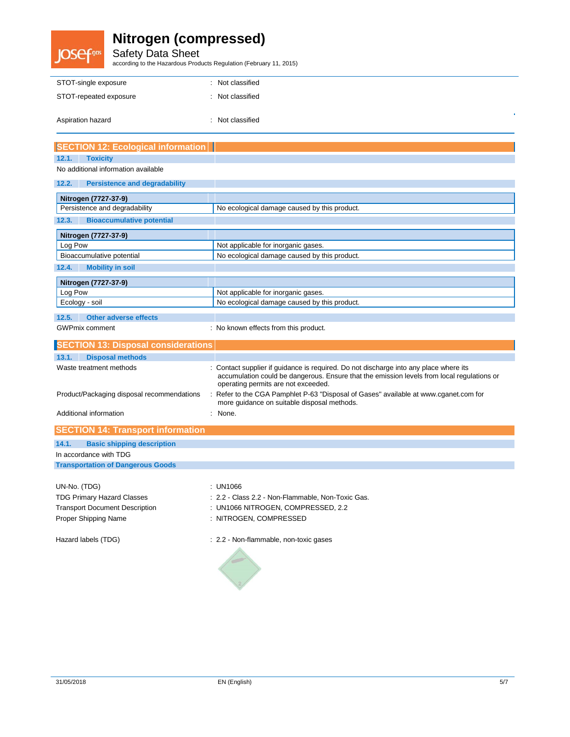# **JOSef**<sup>gas</sup>

# **Nitrogen (compressed)**

Safety Data Sheet according to the Hazardous Products Regulation (February 11, 2015)

| STOT-single exposure   | : Not classified |  |
|------------------------|------------------|--|
| STOT-repeated exposure | : Not classified |  |
| Aspiration hazard      | : Not classified |  |

| <b>SECTION 12: Ecological information</b>                                                                          |                                                                                                                                                                                                                            |
|--------------------------------------------------------------------------------------------------------------------|----------------------------------------------------------------------------------------------------------------------------------------------------------------------------------------------------------------------------|
| <b>Toxicity</b><br>12.1.                                                                                           |                                                                                                                                                                                                                            |
| No additional information available                                                                                |                                                                                                                                                                                                                            |
| <b>Persistence and degradability</b><br>12.2.                                                                      |                                                                                                                                                                                                                            |
| Nitrogen (7727-37-9)                                                                                               |                                                                                                                                                                                                                            |
| Persistence and degradability                                                                                      | No ecological damage caused by this product.                                                                                                                                                                               |
| <b>Bioaccumulative potential</b><br>12.3.                                                                          |                                                                                                                                                                                                                            |
| Nitrogen (7727-37-9)                                                                                               |                                                                                                                                                                                                                            |
| Log Pow                                                                                                            | Not applicable for inorganic gases.                                                                                                                                                                                        |
| Bioaccumulative potential                                                                                          | No ecological damage caused by this product.                                                                                                                                                                               |
| 12.4.<br><b>Mobility in soil</b>                                                                                   |                                                                                                                                                                                                                            |
| Nitrogen (7727-37-9)                                                                                               |                                                                                                                                                                                                                            |
| Log Pow                                                                                                            | Not applicable for inorganic gases.                                                                                                                                                                                        |
| Ecology - soil                                                                                                     | No ecological damage caused by this product.                                                                                                                                                                               |
| 12.5.<br><b>Other adverse effects</b>                                                                              |                                                                                                                                                                                                                            |
| <b>GWPmix comment</b>                                                                                              | : No known effects from this product.                                                                                                                                                                                      |
| <b>CTION 13: Disposal considerations</b>                                                                           |                                                                                                                                                                                                                            |
| 13.1.<br><b>Disposal methods</b>                                                                                   |                                                                                                                                                                                                                            |
| Waste treatment methods                                                                                            | : Contact supplier if guidance is required. Do not discharge into any place where its<br>accumulation could be dangerous. Ensure that the emission levels from local regulations or<br>operating permits are not exceeded. |
| Product/Packaging disposal recommendations                                                                         | Refer to the CGA Pamphlet P-63 "Disposal of Gases" available at www.cganet.com for<br>more guidance on suitable disposal methods.                                                                                          |
| Additional information                                                                                             | : None.                                                                                                                                                                                                                    |
| <b>SECTION 14: Transport information</b>                                                                           |                                                                                                                                                                                                                            |
| 14.1.<br><b>Basic shipping description</b>                                                                         |                                                                                                                                                                                                                            |
| In accordance with TDG                                                                                             |                                                                                                                                                                                                                            |
| <b>Transportation of Dangerous Goods</b>                                                                           |                                                                                                                                                                                                                            |
| UN-No. (TDG)<br><b>TDG Primary Hazard Classes</b><br><b>Transport Document Description</b><br>Proper Shipping Name | : UN1066<br>: 2.2 - Class 2.2 - Non-Flammable, Non-Toxic Gas.<br>: UN1066 NITROGEN, COMPRESSED, 2.2<br>: NITROGEN, COMPRESSED                                                                                              |
| Hazard labels (TDG)                                                                                                | : 2.2 - Non-flammable, non-toxic gases                                                                                                                                                                                     |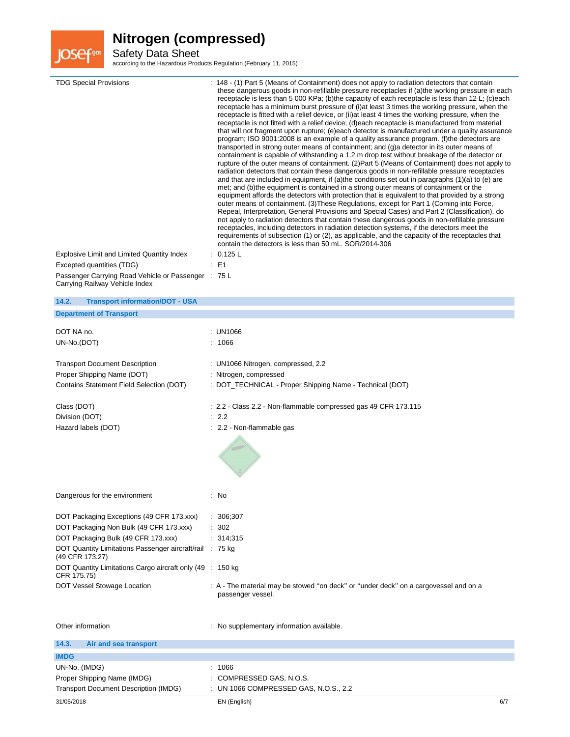

Safety Data Sheet according to the Hazardous Products Regulation (February 11, 2015)

| <b>TDG Special Provisions</b><br>Explosive Limit and Limited Quantity Index<br>Excepted quantities (TDG)<br>Passenger Carrying Road Vehicle or Passenger : 75 L<br>Carrying Railway Vehicle Index | : 148 - (1) Part 5 (Means of Containment) does not apply to radiation detectors that contain<br>these dangerous goods in non-refillable pressure receptacles if (a) the working pressure in each<br>receptacle is less than 5 000 KPa; (b)the capacity of each receptacle is less than 12 L; (c)each<br>receptacle has a minimum burst pressure of (i) at least 3 times the working pressure, when the<br>receptacle is fitted with a relief device, or (ii) at least 4 times the working pressure, when the<br>receptacle is not fitted with a relief device; (d)each receptacle is manufactured from material<br>that will not fragment upon rupture; (e)each detector is manufactured under a quality assurance<br>program; ISO 9001:2008 is an example of a quality assurance program. (f) the detectors are<br>transported in strong outer means of containment; and (g)a detector in its outer means of<br>containment is capable of withstanding a 1.2 m drop test without breakage of the detector or<br>rupture of the outer means of containment. (2) Part 5 (Means of Containment) does not apply to<br>radiation detectors that contain these dangerous goods in non-refillable pressure receptacles<br>and that are included in equipment, if (a)the conditions set out in paragraphs $(1)(a)$ to (e) are<br>met; and (b)the equipment is contained in a strong outer means of containment or the<br>equipment affords the detectors with protection that is equivalent to that provided by a strong<br>outer means of containment. (3) These Regulations, except for Part 1 (Coming into Force,<br>Repeal, Interpretation, General Provisions and Special Cases) and Part 2 (Classification), do<br>not apply to radiation detectors that contain these dangerous goods in non-refillable pressure<br>receptacles, including detectors in radiation detection systems, if the detectors meet the<br>requirements of subsection (1) or (2), as applicable, and the capacity of the receptacles that<br>contain the detectors is less than 50 mL. SOR/2014-306<br>0.125 L<br>E <sub>1</sub><br>÷ |
|---------------------------------------------------------------------------------------------------------------------------------------------------------------------------------------------------|--------------------------------------------------------------------------------------------------------------------------------------------------------------------------------------------------------------------------------------------------------------------------------------------------------------------------------------------------------------------------------------------------------------------------------------------------------------------------------------------------------------------------------------------------------------------------------------------------------------------------------------------------------------------------------------------------------------------------------------------------------------------------------------------------------------------------------------------------------------------------------------------------------------------------------------------------------------------------------------------------------------------------------------------------------------------------------------------------------------------------------------------------------------------------------------------------------------------------------------------------------------------------------------------------------------------------------------------------------------------------------------------------------------------------------------------------------------------------------------------------------------------------------------------------------------------------------------------------------------------------------------------------------------------------------------------------------------------------------------------------------------------------------------------------------------------------------------------------------------------------------------------------------------------------------------------------------------------------------------------------------------------------------------------------------------------------------------------------------------|
| 14.2.<br><b>Transport information/DOT - USA</b>                                                                                                                                                   |                                                                                                                                                                                                                                                                                                                                                                                                                                                                                                                                                                                                                                                                                                                                                                                                                                                                                                                                                                                                                                                                                                                                                                                                                                                                                                                                                                                                                                                                                                                                                                                                                                                                                                                                                                                                                                                                                                                                                                                                                                                                                                              |
| <b>Department of Transport</b>                                                                                                                                                                    |                                                                                                                                                                                                                                                                                                                                                                                                                                                                                                                                                                                                                                                                                                                                                                                                                                                                                                                                                                                                                                                                                                                                                                                                                                                                                                                                                                                                                                                                                                                                                                                                                                                                                                                                                                                                                                                                                                                                                                                                                                                                                                              |
|                                                                                                                                                                                                   |                                                                                                                                                                                                                                                                                                                                                                                                                                                                                                                                                                                                                                                                                                                                                                                                                                                                                                                                                                                                                                                                                                                                                                                                                                                                                                                                                                                                                                                                                                                                                                                                                                                                                                                                                                                                                                                                                                                                                                                                                                                                                                              |
| DOT NA no.                                                                                                                                                                                        | : UN1066                                                                                                                                                                                                                                                                                                                                                                                                                                                                                                                                                                                                                                                                                                                                                                                                                                                                                                                                                                                                                                                                                                                                                                                                                                                                                                                                                                                                                                                                                                                                                                                                                                                                                                                                                                                                                                                                                                                                                                                                                                                                                                     |
| UN-No.(DOT)                                                                                                                                                                                       | 1066                                                                                                                                                                                                                                                                                                                                                                                                                                                                                                                                                                                                                                                                                                                                                                                                                                                                                                                                                                                                                                                                                                                                                                                                                                                                                                                                                                                                                                                                                                                                                                                                                                                                                                                                                                                                                                                                                                                                                                                                                                                                                                         |
| <b>Transport Document Description</b>                                                                                                                                                             |                                                                                                                                                                                                                                                                                                                                                                                                                                                                                                                                                                                                                                                                                                                                                                                                                                                                                                                                                                                                                                                                                                                                                                                                                                                                                                                                                                                                                                                                                                                                                                                                                                                                                                                                                                                                                                                                                                                                                                                                                                                                                                              |
| Proper Shipping Name (DOT)                                                                                                                                                                        | : UN1066 Nitrogen, compressed, 2.2<br>: Nitrogen, compressed                                                                                                                                                                                                                                                                                                                                                                                                                                                                                                                                                                                                                                                                                                                                                                                                                                                                                                                                                                                                                                                                                                                                                                                                                                                                                                                                                                                                                                                                                                                                                                                                                                                                                                                                                                                                                                                                                                                                                                                                                                                 |
| Contains Statement Field Selection (DOT)                                                                                                                                                          | : DOT_TECHNICAL - Proper Shipping Name - Technical (DOT)                                                                                                                                                                                                                                                                                                                                                                                                                                                                                                                                                                                                                                                                                                                                                                                                                                                                                                                                                                                                                                                                                                                                                                                                                                                                                                                                                                                                                                                                                                                                                                                                                                                                                                                                                                                                                                                                                                                                                                                                                                                     |
|                                                                                                                                                                                                   |                                                                                                                                                                                                                                                                                                                                                                                                                                                                                                                                                                                                                                                                                                                                                                                                                                                                                                                                                                                                                                                                                                                                                                                                                                                                                                                                                                                                                                                                                                                                                                                                                                                                                                                                                                                                                                                                                                                                                                                                                                                                                                              |
| Class (DOT)                                                                                                                                                                                       | : 2.2 - Class 2.2 - Non-flammable compressed gas 49 CFR 173.115                                                                                                                                                                                                                                                                                                                                                                                                                                                                                                                                                                                                                                                                                                                                                                                                                                                                                                                                                                                                                                                                                                                                                                                                                                                                                                                                                                                                                                                                                                                                                                                                                                                                                                                                                                                                                                                                                                                                                                                                                                              |
| Division (DOT)                                                                                                                                                                                    | : 2.2                                                                                                                                                                                                                                                                                                                                                                                                                                                                                                                                                                                                                                                                                                                                                                                                                                                                                                                                                                                                                                                                                                                                                                                                                                                                                                                                                                                                                                                                                                                                                                                                                                                                                                                                                                                                                                                                                                                                                                                                                                                                                                        |
| Hazard labels (DOT)                                                                                                                                                                               | : 2.2 - Non-flammable gas                                                                                                                                                                                                                                                                                                                                                                                                                                                                                                                                                                                                                                                                                                                                                                                                                                                                                                                                                                                                                                                                                                                                                                                                                                                                                                                                                                                                                                                                                                                                                                                                                                                                                                                                                                                                                                                                                                                                                                                                                                                                                    |
|                                                                                                                                                                                                   |                                                                                                                                                                                                                                                                                                                                                                                                                                                                                                                                                                                                                                                                                                                                                                                                                                                                                                                                                                                                                                                                                                                                                                                                                                                                                                                                                                                                                                                                                                                                                                                                                                                                                                                                                                                                                                                                                                                                                                                                                                                                                                              |
|                                                                                                                                                                                                   |                                                                                                                                                                                                                                                                                                                                                                                                                                                                                                                                                                                                                                                                                                                                                                                                                                                                                                                                                                                                                                                                                                                                                                                                                                                                                                                                                                                                                                                                                                                                                                                                                                                                                                                                                                                                                                                                                                                                                                                                                                                                                                              |
| Dangerous for the environment                                                                                                                                                                     | : No                                                                                                                                                                                                                                                                                                                                                                                                                                                                                                                                                                                                                                                                                                                                                                                                                                                                                                                                                                                                                                                                                                                                                                                                                                                                                                                                                                                                                                                                                                                                                                                                                                                                                                                                                                                                                                                                                                                                                                                                                                                                                                         |
|                                                                                                                                                                                                   |                                                                                                                                                                                                                                                                                                                                                                                                                                                                                                                                                                                                                                                                                                                                                                                                                                                                                                                                                                                                                                                                                                                                                                                                                                                                                                                                                                                                                                                                                                                                                                                                                                                                                                                                                                                                                                                                                                                                                                                                                                                                                                              |
| DOT Packaging Exceptions (49 CFR 173.xxx)                                                                                                                                                         | : 306;307                                                                                                                                                                                                                                                                                                                                                                                                                                                                                                                                                                                                                                                                                                                                                                                                                                                                                                                                                                                                                                                                                                                                                                                                                                                                                                                                                                                                                                                                                                                                                                                                                                                                                                                                                                                                                                                                                                                                                                                                                                                                                                    |
| DOT Packaging Non Bulk (49 CFR 173.xxx)                                                                                                                                                           | 302                                                                                                                                                                                                                                                                                                                                                                                                                                                                                                                                                                                                                                                                                                                                                                                                                                                                                                                                                                                                                                                                                                                                                                                                                                                                                                                                                                                                                                                                                                                                                                                                                                                                                                                                                                                                                                                                                                                                                                                                                                                                                                          |
| DOT Packaging Bulk (49 CFR 173.xxx)                                                                                                                                                               | : 314;315                                                                                                                                                                                                                                                                                                                                                                                                                                                                                                                                                                                                                                                                                                                                                                                                                                                                                                                                                                                                                                                                                                                                                                                                                                                                                                                                                                                                                                                                                                                                                                                                                                                                                                                                                                                                                                                                                                                                                                                                                                                                                                    |
| DOT Quantity Limitations Passenger aircraft/rail : 75 kg                                                                                                                                          |                                                                                                                                                                                                                                                                                                                                                                                                                                                                                                                                                                                                                                                                                                                                                                                                                                                                                                                                                                                                                                                                                                                                                                                                                                                                                                                                                                                                                                                                                                                                                                                                                                                                                                                                                                                                                                                                                                                                                                                                                                                                                                              |
| (49 CFR 173.27)<br>DOT Quantity Limitations Cargo aircraft only (49 : 150 kg)<br>CFR 175.75)                                                                                                      |                                                                                                                                                                                                                                                                                                                                                                                                                                                                                                                                                                                                                                                                                                                                                                                                                                                                                                                                                                                                                                                                                                                                                                                                                                                                                                                                                                                                                                                                                                                                                                                                                                                                                                                                                                                                                                                                                                                                                                                                                                                                                                              |
| DOT Vessel Stowage Location                                                                                                                                                                       | : A - The material may be stowed "on deck" or "under deck" on a cargovessel and on a                                                                                                                                                                                                                                                                                                                                                                                                                                                                                                                                                                                                                                                                                                                                                                                                                                                                                                                                                                                                                                                                                                                                                                                                                                                                                                                                                                                                                                                                                                                                                                                                                                                                                                                                                                                                                                                                                                                                                                                                                         |
|                                                                                                                                                                                                   | passenger vessel.                                                                                                                                                                                                                                                                                                                                                                                                                                                                                                                                                                                                                                                                                                                                                                                                                                                                                                                                                                                                                                                                                                                                                                                                                                                                                                                                                                                                                                                                                                                                                                                                                                                                                                                                                                                                                                                                                                                                                                                                                                                                                            |
| Other information                                                                                                                                                                                 | : No supplementary information available.                                                                                                                                                                                                                                                                                                                                                                                                                                                                                                                                                                                                                                                                                                                                                                                                                                                                                                                                                                                                                                                                                                                                                                                                                                                                                                                                                                                                                                                                                                                                                                                                                                                                                                                                                                                                                                                                                                                                                                                                                                                                    |
| 14.3.<br>Air and sea transport                                                                                                                                                                    |                                                                                                                                                                                                                                                                                                                                                                                                                                                                                                                                                                                                                                                                                                                                                                                                                                                                                                                                                                                                                                                                                                                                                                                                                                                                                                                                                                                                                                                                                                                                                                                                                                                                                                                                                                                                                                                                                                                                                                                                                                                                                                              |
| <b>IMDG</b>                                                                                                                                                                                       |                                                                                                                                                                                                                                                                                                                                                                                                                                                                                                                                                                                                                                                                                                                                                                                                                                                                                                                                                                                                                                                                                                                                                                                                                                                                                                                                                                                                                                                                                                                                                                                                                                                                                                                                                                                                                                                                                                                                                                                                                                                                                                              |
| UN-No. (IMDG)                                                                                                                                                                                     | 1066                                                                                                                                                                                                                                                                                                                                                                                                                                                                                                                                                                                                                                                                                                                                                                                                                                                                                                                                                                                                                                                                                                                                                                                                                                                                                                                                                                                                                                                                                                                                                                                                                                                                                                                                                                                                                                                                                                                                                                                                                                                                                                         |
| Proper Shipping Name (IMDG)                                                                                                                                                                       | COMPRESSED GAS, N.O.S.                                                                                                                                                                                                                                                                                                                                                                                                                                                                                                                                                                                                                                                                                                                                                                                                                                                                                                                                                                                                                                                                                                                                                                                                                                                                                                                                                                                                                                                                                                                                                                                                                                                                                                                                                                                                                                                                                                                                                                                                                                                                                       |

Transport Document Description (IMDG) : UN 1066 COMPRESSED GAS, N.O.S., 2.2